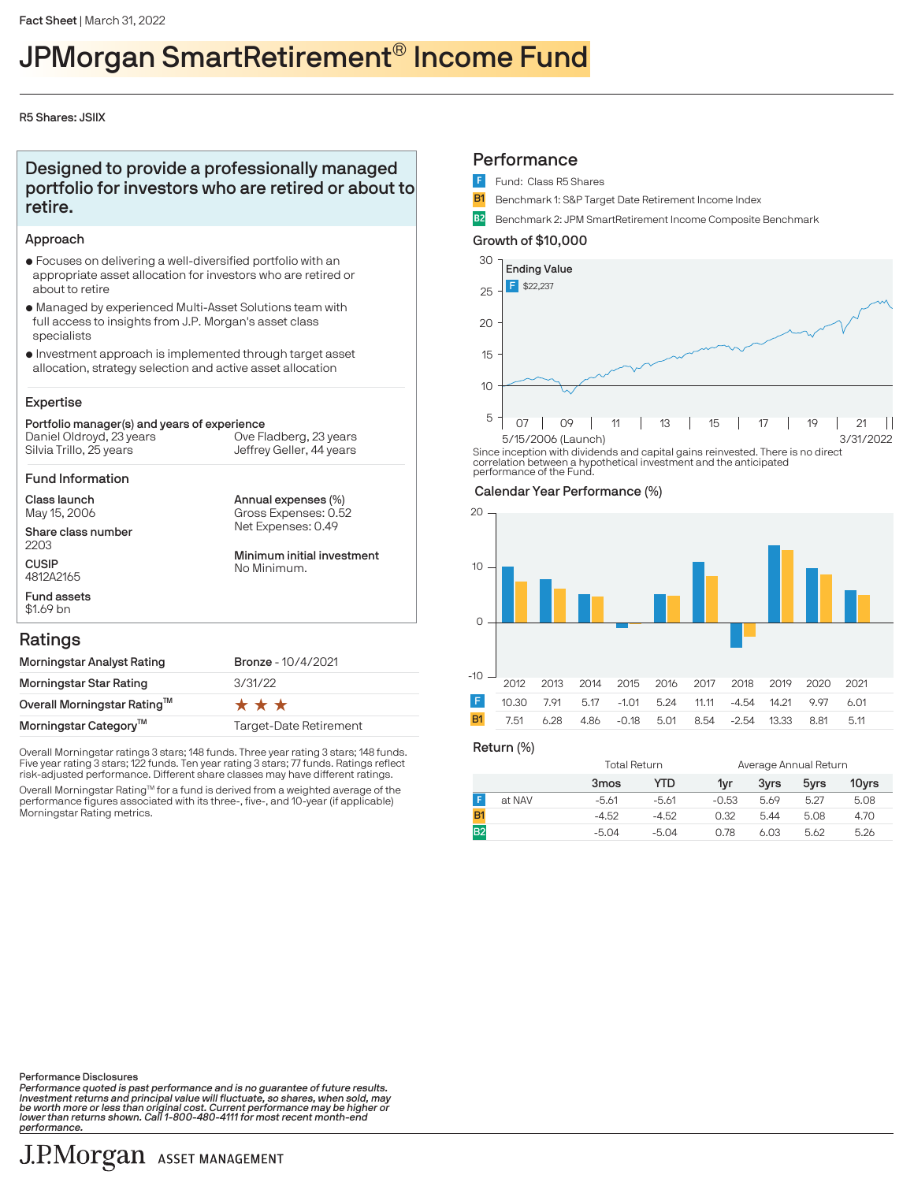# JPMorgan SmartRetirement® Income Fund

#### R5 Shares: JSIIX

### Designed to provide a professionally managed portfolio for investors who are retired or about to retire.

#### Approach

- $\bullet$  Focuses on delivering a well-diversified portfolio with an appropriate asset allocation for investors who are retired or about to retire
- $\bullet$  Managed by experienced Multi-Asset Solutions team with full access to insights from J.P. Morgan's asset class specialists
- $\bullet$  Investment approach is implemented through target asset allocation, strategy selection and active asset allocation

#### Expertise

#### Portfolio manager(s) and years of experience Silvia Trillo, 25 years Daniel Oldroyd, 23 years Jeffrey Geller, 44 years Ove Fladberg, 23 years

Fund Information

Class launch May 15, 2006

Share class number 2203 **CUSIP** 4812A2165

Annual expenses (%) Net Expenses: 0.49 Gross Expenses: 0.52

Minimum initial investment No Minimum.

#### Ratings

Fund assets \$1.69 bn

| Morningstar Analyst Rating        | <b>Bronze - 10/4/2021</b> |
|-----------------------------------|---------------------------|
| Morningstar Star Rating           | 3/31/22                   |
| Overall Morningstar Rating™       | ***                       |
| Morningstar Category <sup>™</sup> | Target-Date Retirement    |

Overall Morningstar ratings 3 stars; 148 funds. Three year rating 3 stars; 148 funds. Five year rating 3 stars; 122 funds. Ten year rating 3 stars; 77 funds. Ratings reflect risk-adjusted performance. Different share classes may have different ratings.

Overall Morningstar Rating™ for a fund is derived from a weighted average of the<br>performance figures associated with its three-, five-, and 10-year (if applicable) Morningstar Rating metrics.

#### **Performance**

- Fund: Class R5 Shares
- **B1** Benchmark 1: S&P Target Date Retirement Income Index
- B2 Benchmark 2: JPM SmartRetirement Income Composite Benchmark

#### Growth of \$10,000



Since inception with dividends and capital gains reinvested. There is no direct correlation between a hypothetical investment and the anticipated performance of the Fund.

#### Calendar Year Performance (%)



Return (%)

|        | Total Return |         | Average Annual Return |      |      |       |
|--------|--------------|---------|-----------------------|------|------|-------|
|        | 3mos         | YTD     | 1vr                   | 3vrs | 5yrs | 10yrs |
| at NAV | $-5.61$      | -5.61   | $-0.53$               | 5.69 | 5.27 | 5.08  |
|        | $-4.52$      | $-4.52$ | 0.32                  | 5.44 | 5.08 | 4.70  |
|        | $-5.04$      | $-5.04$ | 0.78                  | 6.03 | 5.62 | 5.26  |

Performance Disclosures

Performance quoted is past performance and is no guarantee of future results.<br>Investment returns and principal value will fluctuate, so shares, when sold, may<br>be worth more or less than original cost. Current performance m performance.

## J.P.Morgan ASSET MANAGEMENT